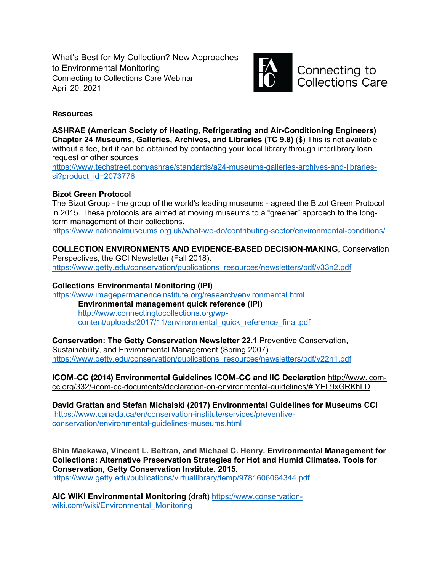What's Best for My Collection? New Approaches to Environmental Monitoring Connecting to Collections Care Webinar April 20, 2021



Connecting to **Collections Care** 

# **Resources**

**ASHRAE (American Society of Heating, Refrigerating and Air-Conditioning Engineers) Chapter 24 Museums, Galleries, Archives, and Libraries (TC 9.8)** (\$) This is not available without a fee, but it can be obtained by contacting your local library through interlibrary loan request or other sources

https://www.techstreet.com/ashrae/standards/a24-museums-galleries-archives-and-librariessi?product\_id=2073776

# **Bizot Green Protocol**

The Bizot Group - the group of the world's leading museums - agreed the Bizot Green Protocol in 2015. These protocols are aimed at moving museums to a "greener" approach to the longterm management of their collections.

https://www.nationalmuseums.org.uk/what-we-do/contributing-sector/environmental-conditions/

# **COLLECTION ENVIRONMENTS AND EVIDENCE-BASED DECISION-MAKING**, Conservation

Perspectives, the GCI Newsletter (Fall 2018). https://www.getty.edu/conservation/publications\_resources/newsletters/pdf/v33n2.pdf

# **Collections Environmental Monitoring (IPI)**

https://www.imagepermanenceinstitute.org/research/environmental.html **Environmental management quick reference (IPI)** http://www.connectingtocollections.org/wpcontent/uploads/2017/11/environmental\_quick\_reference\_final.pdf

# **Conservation: The Getty Conservation Newsletter 22.1** Preventive Conservation, Sustainability, and Environmental Management (Spring 2007)

https://www.getty.edu/conservation/publications\_resources/newsletters/pdf/v22n1.pdf

**ICOM-CC (2014) Environmental Guidelines ICOM-CC and IIC Declaration** http://www.icomcc.org/332/-icom-cc-documents/declaration-on-environmental-guidelines/#.YEL9xGRKhLD

**David Grattan and Stefan Michalski (2017) Environmental Guidelines for Museums CCI** https://www.canada.ca/en/conservation-institute/services/preventiveconservation/environmental-guidelines-museums.html

**Shin Maekawa, Vincent L. Beltran, and Michael C. Henry. Environmental Management for Collections: Alternative Preservation Strategies for Hot and Humid Climates. Tools for Conservation, Getty Conservation Institute. 2015.** 

https://www.getty.edu/publications/virtuallibrary/temp/9781606064344.pdf

**AIC WIKI Environmental Monitoring** (draft) https://www.conservationwiki.com/wiki/Environmental\_Monitoring